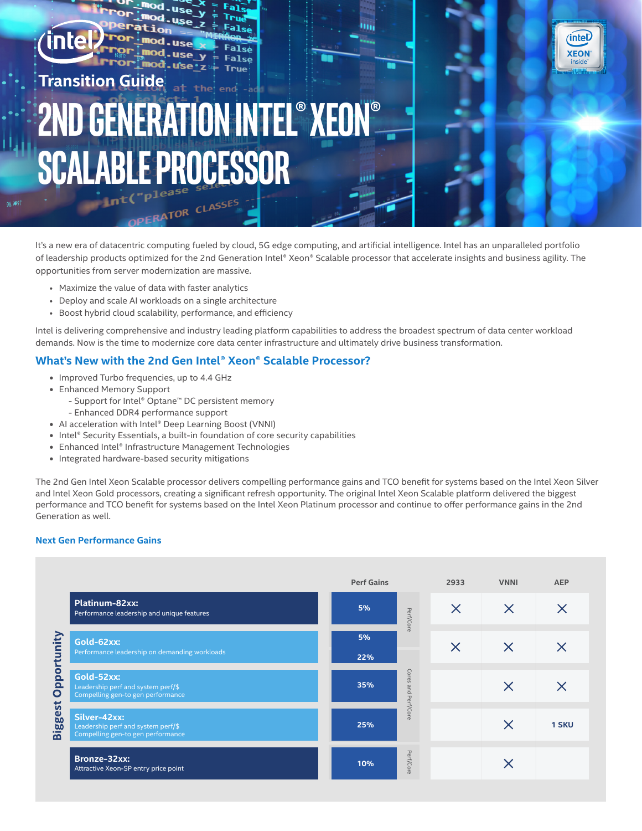

Tru

**False** 

It's a new era of datacentric computing fueled by cloud, 5G edge computing, and artificial intelligence. Intel has an unparalleled portfolio of leadership products optimized for the 2nd Generation Intel® Xeon® Scalable processor that accelerate insights and business agility. The opportunities from server modernization are massive.

m

(intel)

**XEON** 

- Maximize the value of data with faster analytics
- Deploy and scale AI workloads on a single architecture

Orl

**Mod** 

-use

- use

**USe** 

• Boost hybrid cloud scalability, performance, and efficiency

Intel is delivering comprehensive and industry leading platform capabilities to address the broadest spectrum of data center workload demands. Now is the time to modernize core data center infrastructure and ultimately drive business transformation.

## **What's New with the 2nd Gen Intel® Xeon® Scalable Processor?**

- **•** Improved Turbo frequencies, up to 4.4 GHz
- **•** Enhanced Memory Support
	- Support for Intel® Optane™ DC persistent memory
	- Enhanced DDR4 performance support
- **•** AI acceleration with Intel® Deep Learning Boost (VNNI)
- **•** Intel® Security Essentials, a built-in foundation of core security capabilities
- **•** Enhanced Intel® Infrastructure Management Technologies
- **•** Integrated hardware-based security mitigations

The 2nd Gen Intel Xeon Scalable processor delivers compelling performance gains and TCO benefit for systems based on the Intel Xeon Silver and Intel Xeon Gold processors, creating a significant refresh opportunity. The original Intel Xeon Scalable platform delivered the biggest performance and TCO benefit for systems based on the Intel Xeon Platinum processor and continue to offer performance gains in the 2nd Generation as well.

#### **Next Gen Performance Gains**

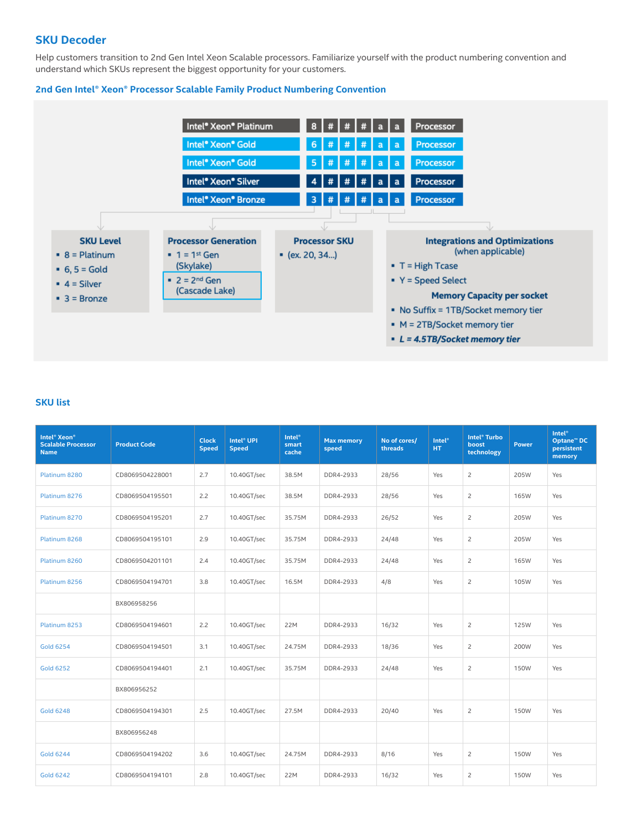## **SKU Decoder**

Help customers transition to 2nd Gen Intel Xeon Scalable processors. Familiarize yourself with the product numbering convention and understand which SKUs represent the biggest opportunity for your customers.

## **2nd Gen Intel® Xeon® Processor Scalable Family Product Numbering Convention**



#### **SKU list**

| Intel <sup>®</sup> Xeon <sup>®</sup><br><b>Scalable Processor</b><br><b>Name</b> | <b>Product Code</b> | <b>Clock</b><br><b>Speed</b> | Intel <sup>®</sup> UPI<br><b>Speed</b> | <b>Intel<sup>®</sup></b><br>smart<br>cache | <b>Max memory</b><br>speed | No of cores/<br>threads | <b>Intel<sup>®</sup></b><br>HT. | Intel <sup>®</sup> Turbo<br>boost<br>technology | <b>Power</b> | <b>Intel<sup>®</sup></b><br>Optane <sup>™</sup> DC<br>persistent<br>memory |
|----------------------------------------------------------------------------------|---------------------|------------------------------|----------------------------------------|--------------------------------------------|----------------------------|-------------------------|---------------------------------|-------------------------------------------------|--------------|----------------------------------------------------------------------------|
| Platinum 8280                                                                    | CD8069504228001     | 2.7                          | 10.40GT/sec                            | 38.5M                                      | DDR4-2933                  | 28/56                   | Yes                             | $\overline{c}$                                  | 205W         | Yes                                                                        |
| Platinum 8276                                                                    | CD8069504195501     | 2.2                          | 10.40GT/sec                            | 38.5M                                      | DDR4-2933                  | 28/56                   | Yes                             | $\overline{c}$                                  | 165W         | Yes                                                                        |
| Platinum 8270                                                                    | CD8069504195201     | 2.7                          | 10.40GT/sec                            | 35.75M                                     | DDR4-2933                  | 26/52                   | Yes                             | $\overline{c}$                                  | 205W         | Yes                                                                        |
| Platinum 8268                                                                    | CD8069504195101     | 2.9                          | 10.40GT/sec                            | 35.75M                                     | DDR4-2933                  | 24/48                   | Yes                             | $\overline{c}$                                  | 205W         | Yes                                                                        |
| Platinum 8260                                                                    | CD8069504201101     | 2.4                          | 10.40GT/sec                            | 35.75M                                     | DDR4-2933                  | 24/48                   | Yes                             | $\overline{c}$                                  | 165W         | Yes                                                                        |
| Platinum 8256                                                                    | CD8069504194701     | 3.8                          | 10.40GT/sec                            | 16.5M                                      | DDR4-2933                  | 4/8                     | Yes                             | $\overline{c}$                                  | 105W         | Yes                                                                        |
|                                                                                  | BX806958256         |                              |                                        |                                            |                            |                         |                                 |                                                 |              |                                                                            |
| Platinum 8253                                                                    | CD8069504194601     | 2.2                          | 10.40GT/sec                            | 22M                                        | DDR4-2933                  | 16/32                   | Yes                             | $\overline{c}$                                  | 125W         | Yes                                                                        |
| <b>Gold 6254</b>                                                                 | CD8069504194501     | 3.1                          | 10.40GT/sec                            | 24.75M                                     | DDR4-2933                  | 18/36                   | Yes                             | $\overline{c}$                                  | 200W         | Yes                                                                        |
| <b>Gold 6252</b>                                                                 | CD8069504194401     | 2.1                          | 10.40GT/sec                            | 35.75M                                     | DDR4-2933                  | 24/48                   | Yes                             | $\overline{c}$                                  | 150W         | Yes                                                                        |
|                                                                                  | BX806956252         |                              |                                        |                                            |                            |                         |                                 |                                                 |              |                                                                            |
| <b>Gold 6248</b>                                                                 | CD8069504194301     | 2.5                          | 10.40GT/sec                            | 27.5M                                      | DDR4-2933                  | 20/40                   | Yes                             | $\overline{c}$                                  | <b>150W</b>  | Yes                                                                        |
|                                                                                  | BX806956248         |                              |                                        |                                            |                            |                         |                                 |                                                 |              |                                                                            |
| <b>Gold 6244</b>                                                                 | CD8069504194202     | 3.6                          | 10.40GT/sec                            | 24.75M                                     | DDR4-2933                  | 8/16                    | Yes                             | $\overline{c}$                                  | <b>150W</b>  | Yes                                                                        |
| <b>Gold 6242</b>                                                                 | CD8069504194101     | 2.8                          | 10.40GT/sec                            | 22M                                        | DDR4-2933                  | 16/32                   | Yes                             | $\overline{c}$                                  | 150W         | Yes                                                                        |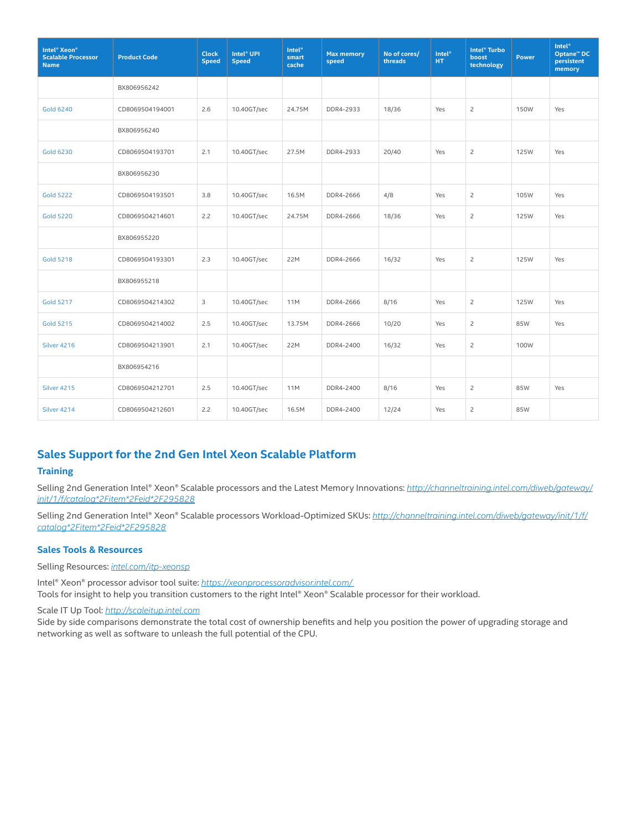| Intel <sup>®</sup> Xeon <sup>®</sup><br><b>Scalable Processor</b><br><b>Name</b> | <b>Product Code</b> | <b>Clock</b><br><b>Speed</b> | Intel <sup>®</sup> UPI<br><b>Speed</b> | <b>Intel<sup>®</sup></b><br>smart<br>cache | <b>Max memory</b><br>speed | No of cores/<br>threads | <b>Intel<sup>®</sup></b><br>HT. | Intel <sup>®</sup> Turbo<br>boost<br>technology | <b>Power</b> | <b>Intel<sup>®</sup></b><br><b>Optane™ DC</b><br>persistent<br>memory |
|----------------------------------------------------------------------------------|---------------------|------------------------------|----------------------------------------|--------------------------------------------|----------------------------|-------------------------|---------------------------------|-------------------------------------------------|--------------|-----------------------------------------------------------------------|
|                                                                                  | BX806956242         |                              |                                        |                                            |                            |                         |                                 |                                                 |              |                                                                       |
| <b>Gold 6240</b>                                                                 | CD8069504194001     | 2.6                          | 10.40GT/sec                            | 24.75M                                     | DDR4-2933                  | 18/36                   | Yes                             | $\overline{c}$                                  | 150W         | Yes                                                                   |
|                                                                                  | BX806956240         |                              |                                        |                                            |                            |                         |                                 |                                                 |              |                                                                       |
| <b>Gold 6230</b>                                                                 | CD8069504193701     | 2.1                          | 10.40GT/sec                            | 27.5M                                      | DDR4-2933                  | 20/40                   | Yes                             | $\overline{c}$                                  | 125W         | Yes                                                                   |
|                                                                                  | BX806956230         |                              |                                        |                                            |                            |                         |                                 |                                                 |              |                                                                       |
| <b>Gold 5222</b>                                                                 | CD8069504193501     | 3.8                          | 10.40GT/sec                            | 16.5M                                      | DDR4-2666                  | 4/8                     | Yes                             | $\overline{c}$                                  | 105W         | Yes                                                                   |
| <b>Gold 5220</b>                                                                 | CD8069504214601     | 2.2                          | 10.40GT/sec                            | 24.75M                                     | DDR4-2666                  | 18/36                   | Yes                             | $\overline{c}$                                  | 125W         | Yes                                                                   |
|                                                                                  | BX806955220         |                              |                                        |                                            |                            |                         |                                 |                                                 |              |                                                                       |
| <b>Gold 5218</b>                                                                 | CD8069504193301     | 2.3                          | 10.40GT/sec                            | 22M                                        | DDR4-2666                  | 16/32                   | Yes                             | $\overline{c}$                                  | 125W         | Yes                                                                   |
|                                                                                  | BX806955218         |                              |                                        |                                            |                            |                         |                                 |                                                 |              |                                                                       |
| <b>Gold 5217</b>                                                                 | CD8069504214302     | 3                            | 10.40GT/sec                            | <b>11M</b>                                 | DDR4-2666                  | 8/16                    | Yes                             | $\overline{c}$                                  | 125W         | Yes                                                                   |
| <b>Gold 5215</b>                                                                 | CD8069504214002     | 2.5                          | 10.40GT/sec                            | 13.75M                                     | DDR4-2666                  | 10/20                   | Yes                             | $\overline{2}$                                  | 85W          | Yes                                                                   |
| Silver 4216                                                                      | CD8069504213901     | 2.1                          | 10.40GT/sec                            | 22M                                        | DDR4-2400                  | 16/32                   | Yes                             | $\overline{c}$                                  | 100W         |                                                                       |
|                                                                                  | BX806954216         |                              |                                        |                                            |                            |                         |                                 |                                                 |              |                                                                       |
| Silver 4215                                                                      | CD8069504212701     | 2.5                          | 10.40GT/sec                            | 11M                                        | DDR4-2400                  | 8/16                    | Yes                             | $\overline{c}$                                  | 85W          | Yes                                                                   |
| Silver 4214                                                                      | CD8069504212601     | 2.2                          | 10.40GT/sec                            | 16.5M                                      | DDR4-2400                  | 12/24                   | Yes                             | $\overline{2}$                                  | 85W          |                                                                       |

# **Sales Support for the 2nd Gen Intel Xeon Scalable Platform**

### **Training**

Selling 2nd Generation Intel® Xeon® Scalable processors and the Latest Memory Innovations: *[http://channeltraining.intel.com/diweb/gateway/](http://channeltraining.intel.com/diweb/gateway/init/1/f/catalog*2Fitem*2Feid*2F295828 ) [init/1/f/catalog\\*2Fitem\\*2Feid\\*2F295828](http://channeltraining.intel.com/diweb/gateway/init/1/f/catalog*2Fitem*2Feid*2F295828 )*

Selling 2nd Generation Intel® Xeon® Scalable processors Workload-Optimized SKUs: *[http://channeltraining.intel.com/diweb/gateway/init/1/f/](http://channeltraining.intel.com/diweb/gateway/init/1/f/catalog*2Fitem*2Feid*2F295828) [catalog\\*2Fitem\\*2Feid\\*2F295828](http://channeltraining.intel.com/diweb/gateway/init/1/f/catalog*2Fitem*2Feid*2F295828)*

## **Sales Tools & Resources**

Selling Resources: *[intel.com/itp-xeonsp](http://intel.com/itp-xeonsp)*

Intel® Xeon® processor advisor tool suite: *[https://xeonprocessoradvisor.intel.com/](https://xeonprocessoradvisor.intel.com/ )*  Tools for insight to help you transition customers to the right Intel® Xeon® Scalable processor for their workload.

Scale IT Up Tool: *<http://scaleitup.intel.com>*

Side by side comparisons demonstrate the total cost of ownership benefits and help you position the power of upgrading storage and networking as well as software to unleash the full potential of the CPU.